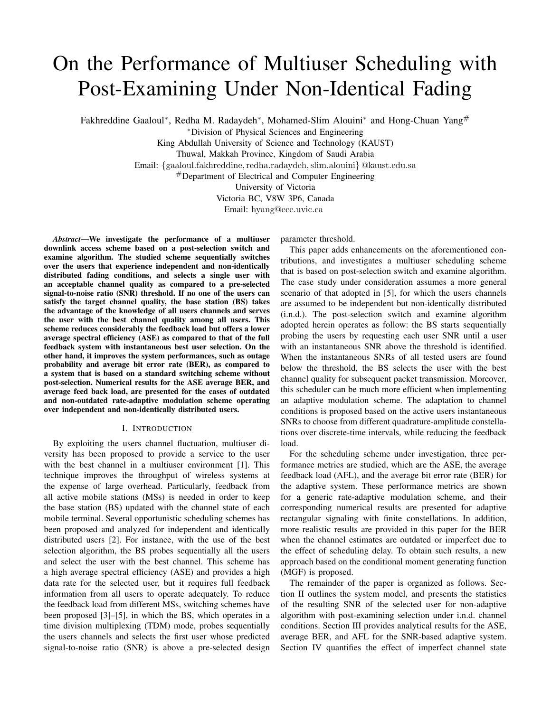# On the Performance of Multiuser Scheduling with Post-Examining Under Non-Identical Fading

Fakhreddine Gaaloul\*, Redha M. Radaydeh\*, Mohamed-Slim Alouini\* and Hong-Chuan Yang<sup>#</sup>

<sup>∗</sup>Division of Physical Sciences and Engineering

King Abdullah University of Science and Technology (KAUST)

Thuwal, Makkah Province, Kingdom of Saudi Arabia

Email: {gaaloul.fakhreddine,redha.radaydeh,slim.alouini} @kaust.edu.sa

#Department of Electrical and Computer Engineering

University of Victoria

Victoria BC, V8W 3P6, Canada

Email: hyang@ece.uvic.ca

*Abstract*—We investigate the performance of a multiuser downlink access scheme based on a post-selection switch and examine algorithm. The studied scheme sequentially switches over the users that experience independent and non-identically distributed fading conditions, and selects a single user with an acceptable channel quality as compared to a pre-selected signal-to-noise ratio (SNR) threshold. If no one of the users can satisfy the target channel quality, the base station (BS) takes the advantage of the knowledge of all users channels and serves the user with the best channel quality among all users. This scheme reduces considerably the feedback load but offers a lower average spectral efficiency (ASE) as compared to that of the full feedback system with instantaneous best user selection. On the other hand, it improves the system performances, such as outage probability and average bit error rate (BER), as compared to a system that is based on a standard switching scheme without post-selection. Numerical results for the ASE average BER, and average feed back load, are presented for the cases of outdated and non-outdated rate-adaptive modulation scheme operating over independent and non-identically distributed users.

### I. INTRODUCTION

By exploiting the users channel fluctuation, multiuser diversity has been proposed to provide a service to the user with the best channel in a multiuser environment [1]. This technique improves the throughput of wireless systems at the expense of large overhead. Particularly, feedback from all active mobile stations (MSs) is needed in order to keep the base station (BS) updated with the channel state of each mobile terminal. Several opportunistic scheduling schemes has been proposed and analyzed for independent and identically distributed users [2]. For instance, with the use of the best selection algorithm, the BS probes sequentially all the users and select the user with the best channel. This scheme has a high average spectral efficiency (ASE) and provides a high data rate for the selected user, but it requires full feedback information from all users to operate adequately. To reduce the feedback load from different MSs, switching schemes have been proposed [3]–[5], in which the BS, which operates in a time division multiplexing (TDM) mode, probes sequentially the users channels and selects the first user whose predicted signal-to-noise ratio (SNR) is above a pre-selected design parameter threshold.

This paper adds enhancements on the aforementioned contributions, and investigates a multiuser scheduling scheme that is based on post-selection switch and examine algorithm. The case study under consideration assumes a more general scenario of that adopted in [5], for which the users channels are assumed to be independent but non-identically distributed (i.n.d.). The post-selection switch and examine algorithm adopted herein operates as follow: the BS starts sequentially probing the users by requesting each user SNR until a user with an instantaneous SNR above the threshold is identified. When the instantaneous SNRs of all tested users are found below the threshold, the BS selects the user with the best channel quality for subsequent packet transmission. Moreover, this scheduler can be much more efficient when implementing an adaptive modulation scheme. The adaptation to channel conditions is proposed based on the active users instantaneous SNRs to choose from different quadrature-amplitude constellations over discrete-time intervals, while reducing the feedback load.

For the scheduling scheme under investigation, three performance metrics are studied, which are the ASE, the average feedback load (AFL), and the average bit error rate (BER) for the adaptive system. These performance metrics are shown for a generic rate-adaptive modulation scheme, and their corresponding numerical results are presented for adaptive rectangular signaling with finite constellations. In addition, more realistic results are provided in this paper for the BER when the channel estimates are outdated or imperfect due to the effect of scheduling delay. To obtain such results, a new approach based on the conditional moment generating function (MGF) is proposed.

The remainder of the paper is organized as follows. Section II outlines the system model, and presents the statistics of the resulting SNR of the selected user for non-adaptive algorithm with post-examining selection under i.n.d. channel conditions. Section III provides analytical results for the ASE, average BER, and AFL for the SNR-based adaptive system. Section IV quantifies the effect of imperfect channel state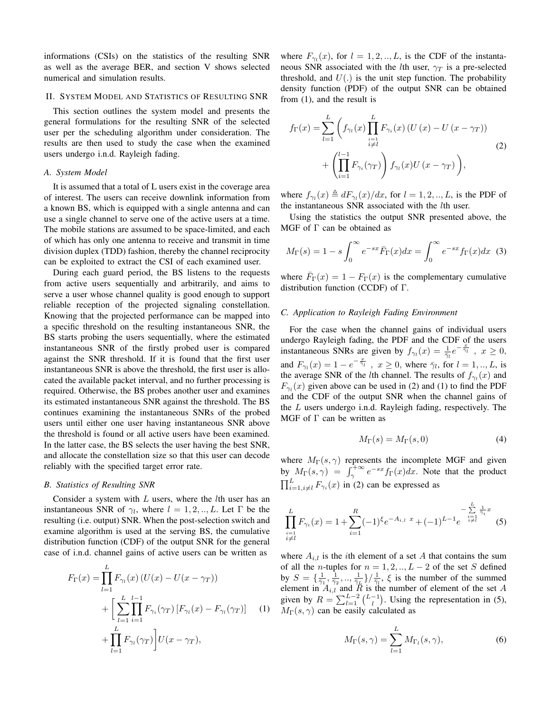informations (CSIs) on the statistics of the resulting SNR as well as the average BER, and section V shows selected numerical and simulation results.

# II. SYSTEM MODEL AND STATISTICS OF RESULTING SNR

This section outlines the system model and presents the general formulations for the resulting SNR of the selected user per the scheduling algorithm under consideration. The results are then used to study the case when the examined users undergo i.n.d. Rayleigh fading.

# *A. System Model*

It is assumed that a total of L users exist in the coverage area of interest. The users can receive downlink information from a known BS, which is equipped with a single antenna and can use a single channel to serve one of the active users at a time. The mobile stations are assumed to be space-limited, and each of which has only one antenna to receive and transmit in time division duplex (TDD) fashion, thereby the channel reciprocity can be exploited to extract the CSI of each examined user.

During each guard period, the BS listens to the requests from active users sequentially and arbitrarily, and aims to serve a user whose channel quality is good enough to support reliable reception of the projected signaling constellation. Knowing that the projected performance can be mapped into a specific threshold on the resulting instantaneous SNR, the BS starts probing the users sequentially, where the estimated instantaneous SNR of the firstly probed user is compared against the SNR threshold. If it is found that the first user instantaneous SNR is above the threshold, the first user is allocated the available packet interval, and no further processing is required. Otherwise, the BS probes another user and examines its estimated instantaneous SNR against the threshold. The BS continues examining the instantaneous SNRs of the probed users until either one user having instantaneous SNR above the threshold is found or all active users have been examined. In the latter case, the BS selects the user having the best SNR, and allocate the constellation size so that this user can decode reliably with the specified target error rate.

# *B. Statistics of Resulting SNR*

Consider a system with  $L$  users, where the  $l$ th user has an instantaneous SNR of  $\gamma_l$ , where  $l = 1, 2, ..., L$ . Let  $\Gamma$  be the resulting (i.e. output) SNR. When the post-selection switch and examine algorithm is used at the serving BS, the cumulative distribution function (CDF) of the output SNR for the general case of i.n.d. channel gains of active users can be written as

$$
F_{\Gamma}(x) = \prod_{l=1}^{L} F_{\gamma_l}(x) (U(x) - U(x - \gamma_T))
$$
  
+ 
$$
\left[ \sum_{l=1}^{L} \prod_{i=1}^{l-1} F_{\gamma_i}(\gamma_T) [F_{\gamma_l}(x) - F_{\gamma_l}(\gamma_T)] \right]
$$
 (1)  
+ 
$$
\prod_{l=1}^{L} F_{\gamma_l}(\gamma_T) \left[ U(x - \gamma_T), \right]
$$

where  $F_{\gamma_l}(x)$ , for  $l = 1, 2, ..., L$ , is the CDF of the instantaneous SNR associated with the *l*th user,  $\gamma_T$  is a pre-selected threshold, and  $U(.)$  is the unit step function. The probability density function (PDF) of the output SNR can be obtained from (1), and the result is

$$
f_{\Gamma}(x) = \sum_{l=1}^{L} \left( f_{\gamma_l}(x) \prod_{\substack{i=1 \\ i \neq l}}^{L} F_{\gamma_i}(x) \left( U\left( x \right) - U\left( x - \gamma_T \right) \right) \right. \\ + \left( \prod_{i=1}^{l-1} F_{\gamma_i}(\gamma_T) \right) f_{\gamma_l}(x) U\left( x - \gamma_T \right) \right), \tag{2}
$$

where  $f_{\gamma_l}(x) \triangleq dF_{\gamma_l}(x)/dx$ , for  $l = 1, 2, ..., L$ , is the PDF of the instantaneous SNR associated with the lth user.

Using the statistics the output SNR presented above, the MGF of Γ can be obtained as

$$
M_{\Gamma}(s) = 1 - s \int_0^{\infty} e^{-sx} \bar{F}_{\Gamma}(x) dx = \int_0^{\infty} e^{-sx} f_{\Gamma}(x) dx
$$
 (3)

where  $\bar{F}_{\Gamma}(x) = 1 - F_{\Gamma}(x)$  is the complementary cumulative distribution function (CCDF) of Γ.

# *C. Application to Rayleigh Fading Environment*

For the case when the channel gains of individual users undergo Rayleigh fading, the PDF and the CDF of the users instantaneous SNRs are given by  $f_{\gamma_l}(x) = \frac{1}{\bar{\gamma}_l} e^{-\frac{x}{\bar{\gamma}_l}}$ ,  $x \ge 0$ , and  $F_{\gamma_l}(x) = 1 - e^{-\frac{x}{\bar{\gamma}_l}}$ ,  $x \ge 0$ , where  $\bar{\gamma}_l$ , for  $l = 1, ..., L$ , is the average SNR of the *l*th channel. The results of  $f_{\gamma_l}(x)$  and  $F_{\gamma_l}(x)$  given above can be used in (2) and (1) to find the PDF and the CDF of the output SNR when the channel gains of the L users undergo i.n.d. Rayleigh fading, respectively. The MGF of  $\Gamma$  can be written as

$$
M_{\Gamma}(s) = M_{\Gamma}(s,0)
$$
 (4)

where  $M_{\Gamma}(s, \gamma)$  represents the incomplete MGF and given by  $M_{\Gamma}(s, \gamma) = \int_{\gamma}^{+\infty} e^{-sx} f_{\Gamma}(x) dx$ . Note that the product  $\prod_{i=1, i \neq l}^{L} F_{\gamma_i}(x)$  in (2) can be expressed as

$$
\prod_{\substack{i=1 \ i \neq l}}^{L} F_{\gamma_i}(x) = 1 + \sum_{i=1}^{R} (-1)^{\xi} e^{-A_{i,l} x} + (-1)^{L-1} e^{\sum_{\substack{i=1 \ i \neq l}}^{L} \frac{1}{\bar{\gamma}_i} x}
$$
(5)

where  $A_{i,l}$  is the *i*th element of a set A that contains the sum of all the *n*-tuples for  $n = 1, 2, \dots, L - 2$  of the set S defined by  $S = {\frac{1}{2}, \frac{1}{2}, \dots, \frac{1}{2}}/{\frac{1}{2}}, \xi$  is the number of the summed element in  $A_{i,l}$  and  $\overline{R}$  is the number of element of the set A given by  $R = \sum_{l=1}^{L-2} {L-1 \choose l}$ . Using the representation in (5),  $M_{\Gamma}(s, \gamma)$  can be easily calculated as

$$
M_{\Gamma}(s,\gamma) = \sum_{l=1}^{L} M_{\Gamma_l}(s,\gamma), \qquad (6)
$$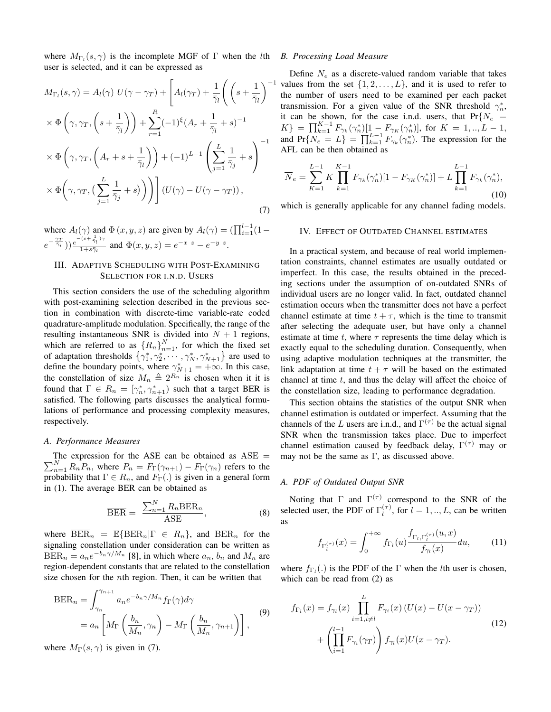where  $M_{\Gamma_l}(s,\gamma)$  is the incomplete MGF of  $\Gamma$  when the *l*th *B. Processing Load Measure* user is selected, and it can be expressed as

$$
M_{\Gamma_l}(s,\gamma) = A_l(\gamma) U(\gamma - \gamma_T) + \left[ A_l(\gamma_T) + \frac{1}{\bar{\gamma}_l} \left( \left( s + \frac{1}{\bar{\gamma}_l} \right) \right) \right]
$$
  
 
$$
\times \Phi \left( \gamma, \gamma_T, \left( s + \frac{1}{\bar{\gamma}_l} \right) \right) + \sum_{r=1}^R (-1)^{\xi} (A_r + \frac{1}{\bar{\gamma}_l} + s)^{-1}
$$
  
 
$$
\times \Phi \left( \gamma, \gamma_T, \left( A_r + s + \frac{1}{\bar{\gamma}_l} \right) \right) + (-1)^{L-1} \left( \sum_{j=1}^L \frac{1}{\bar{\gamma}_j} + s \right)
$$
  
 
$$
\times \Phi \left( \gamma, \gamma_T, \left( \sum_{j=1}^L \frac{1}{\bar{\gamma}_j} + s \right) \right) \right] (U(\gamma) - U(\gamma - \gamma_T)), \tag{7}
$$

where  $A_l(\gamma)$  and  $\Phi(x, y, z)$  are given by  $A_l(\gamma) = \prod_{i=1}^{l-1} (1 - \gamma)$  $e^{-\frac{\gamma_T}{\bar{\gamma}_i}}) \frac{e^{-(s+\frac{1}{\bar{\gamma}_l})\gamma}}{1+s\bar{\gamma}_l}$  $\frac{\partial}{\partial t} \frac{\partial}{\partial t} \frac{\partial}{\partial t}$  and  $\Phi(x, y, z) = e^{-x^2} - e^{-y^2}$ .

# III. ADAPTIVE SCHEDULING WITH POST-EXAMINING SELECTION FOR I.N.D. USERS

This section considers the use of the scheduling algorithm with post-examining selection described in the previous section in combination with discrete-time variable-rate coded quadrature-amplitude modulation. Specifically, the range of the resulting instantaneous SNR is divided into  $N + 1$  regions, which are referred to as  ${R_n}_{n=1}^N$ , for which the fixed set of adaptation thresholds  $\{\gamma_1^*, \gamma_2^*, \cdots, \gamma_N^*, \gamma_{N+1}^*\}$  are used to define the boundary points, where  $\gamma_{N+1}^* = +\infty$ . In this case, the constellation of size  $M_n \triangleq 2^{R_n}$  is chosen when it it is found that  $\Gamma \in R_n = [\gamma_n^*, \gamma_{n+1}^*]$  such that a target BER is satisfied. The following parts discusses the analytical formulations of performance and processing complexity measures, respectively.

### *A. Performance Measures*

 $\sum_{n=1}^{N} R_n P_n$ , where  $P_n = F_{\Gamma}(\gamma_{n+1}) - F_{\Gamma}(\gamma_n)$  refers to the The expression for the ASE can be obtained as  $ASE =$ probability that  $\Gamma \in R_n$ , and  $F_{\Gamma}(\cdot)$  is given in a general form in (1). The average BER can be obtained as

$$
\overline{\text{BER}} = \frac{\sum_{n=1}^{N} R_n \overline{\text{BER}}_n}{\text{ASE}},
$$
 (8)

where  $\overline{\text{BER}}_n = \mathbb{E}\{\text{BER}_n | \Gamma \in R_n\}$ , and  $\text{BER}_n$  for the signaling constellation under consideration can be written as  $BER_n = a_n e^{-b_n \gamma/M_n}$  [8], in which where  $a_n$ ,  $b_n$  and  $M_n$  are region-dependent constants that are related to the constellation size chosen for the  $n$ th region. Then, it can be written that

$$
\overline{BER}_n = \int_{\gamma_n}^{\gamma_{n+1}} a_n e^{-b_n \gamma / M_n} f_{\Gamma}(\gamma) d\gamma
$$
  
=  $a_n \left[ M_{\Gamma} \left( \frac{b_n}{M_n}, \gamma_n \right) - M_{\Gamma} \left( \frac{b_n}{M_n}, \gamma_{n+1} \right) \right],$  (9)

where  $M_{\Gamma}(s, \gamma)$  is given in (7).

 $\setminus$ <sup>-1</sup> values from the set  $\{1, 2, ..., L\}$ , and it is used to refer to Define  $N_e$  as a discrete-valued random variable that takes the number of users need to be examined per each packet transmission. For a given value of the SNR threshold  $\gamma_n^*$ , it can be shown, for the case i.n.d. users, that  $Pr{N_e$  =  $K\} = \prod_{k=1}^{K-1} F_{\gamma_k}(\gamma_n^*)[1 - F_{\gamma_K}(\gamma_n^*)],$  for  $K = 1, ..., L-1$ , and  $Pr\{N_e = L\} = \prod_{k=1}^{L-1} F_{\gamma_k}(\gamma_n^*)$ . The expression for the AFL can be then obtained as

$$
\overline{N}_e = \sum_{K=1}^{L-1} K \prod_{k=1}^{K-1} F_{\gamma_k}(\gamma_n^*) [1 - F_{\gamma_K}(\gamma_n^*)] + L \prod_{k=1}^{L-1} F_{\gamma_k}(\gamma_n^*),
$$
\n(10)

which is generally applicable for any channel fading models.

# IV. EFFECT OF OUTDATED CHANNEL ESTIMATES

In a practical system, and because of real world implementation constraints, channel estimates are usually outdated or imperfect. In this case, the results obtained in the preceding sections under the assumption of on-outdated SNRs of individual users are no longer valid. In fact, outdated channel estimation occurs when the transmitter does not have a perfect channel estimate at time  $t + \tau$ , which is the time to transmit after selecting the adequate user, but have only a channel estimate at time t, where  $\tau$  represents the time delay which is exactly equal to the scheduling duration. Consequently, when using adaptive modulation techniques at the transmitter, the link adaptation at time  $t + \tau$  will be based on the estimated channel at time  $t$ , and thus the delay will affect the choice of the constellation size, leading to performance degradation.

This section obtains the statistics of the output SNR when channel estimation is outdated or imperfect. Assuming that the channels of the L users are i.n.d., and  $\Gamma^{(\tau)}$  be the actual signal SNR when the transmission takes place. Due to imperfect channel estimation caused by feedback delay,  $\Gamma^{(\tau)}$  may or may not be the same as  $\Gamma$ , as discussed above.

# *A. PDF of Outdated Output SNR*

Noting that  $\Gamma$  and  $\Gamma^{(\tau)}$  correspond to the SNR of the selected user, the PDF of  $\Gamma_l^{(\tau)}$  $\ell_l^{(1)}$ , for  $l = 1, \ldots, L$ , can be written as

$$
f_{\Gamma_l^{(\tau)}}(x) = \int_0^{+\infty} f_{\Gamma_l}(u) \frac{f_{\Gamma_l, \Gamma_l^{(\tau)}}(u, x)}{f_{\gamma_l}(x)} du,
$$
 (11)

where  $f_{\Gamma_l}$ (.) is the PDF of the  $\Gamma$  when the *l*th user is chosen, which can be read from (2) as

$$
f_{\Gamma_l}(x) = f_{\gamma_l}(x) \prod_{i=1, i \neq l}^{L} F_{\gamma_i}(x) \left( U(x) - U(x - \gamma_T) \right)
$$
  
+ 
$$
\left( \prod_{i=1}^{l-1} F_{\gamma_i}(\gamma_T) \right) f_{\gamma_l}(x) U(x - \gamma_T).
$$
 (12)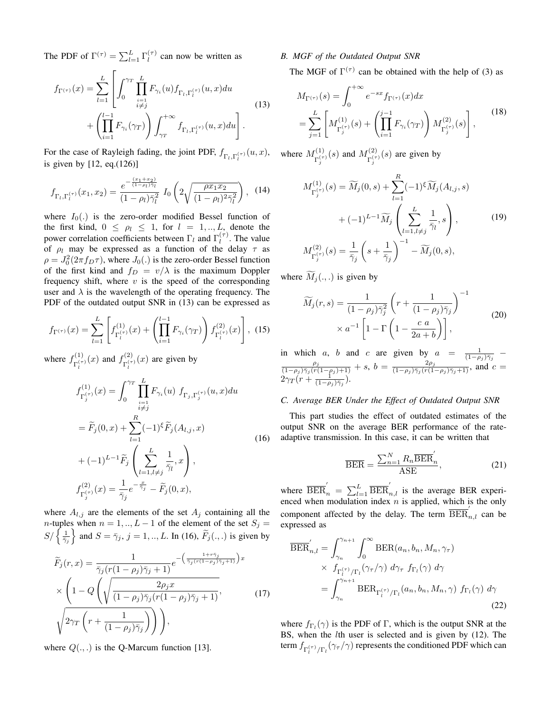The PDF of  $\Gamma^{(\tau)} = \sum_{l=1}^{L} \Gamma^{(\tau)}_l$  $\binom{1}{l}$  can now be written as

$$
f_{\Gamma^{(\tau)}}(x) = \sum_{l=1}^{L} \left[ \int_0^{\gamma_T} \prod_{\substack{i=1 \ i \neq j}}^L F_{\gamma_i}(u) f_{\Gamma_l, \Gamma_l^{(\tau)}}(u, x) du + \left( \prod_{i=1}^{l-1} F_{\gamma_i}(\gamma_T) \right) \int_{\gamma_T}^{+\infty} f_{\Gamma_l, \Gamma_l^{(\tau)}}(u, x) du \right].
$$
 (13)

For the case of Rayleigh fading, the joint PDF,  $f_{\Gamma_l, \Gamma_l^{(\tau)}}(u, x)$ , where  $M_{\Gamma_l^{(\tau)}}^{(1)}$ is given by [12, eq.(126)]

$$
f_{\Gamma_{l},\Gamma_{l}^{(\tau)}}(x_{1},x_{2}) = \frac{e^{-\frac{(x_{1}+x_{2})}{(1-\rho_{l})\bar{\gamma}_{l}^{2}}} }{(1-\rho_{l})\bar{\gamma}_{l}^{2}} I_{0}\left(2\sqrt{\frac{\rho x_{1}x_{2}}{(1-\rho_{l})^{2}\bar{\gamma}_{l}^{2}}}\right), (14)
$$

where  $I_0(.)$  is the zero-order modified Bessel function of the first kind,  $0 \leq \rho_l \leq 1$ , for  $l = 1, ..., L$ , denote the power correlation coefficients between  $\Gamma_l$  and  $\Gamma_l^{(\tau)}$  $\binom{(\tau)}{l}$ . The value of  $\rho_l$  may be expressed as a function of the delay  $\tau$  as  $\rho = J_0^2(2\pi f_D \tau)$ , where  $J_0(.)$  is the zero-order Bessel function of the first kind and  $f_D = v/\lambda$  is the maximum Doppler frequency shift, where  $v$  is the speed of the corresponding user and  $\lambda$  is the wavelength of the operating frequency. The PDF of the outdated output SNR in (13) can be expressed as

$$
f_{\Gamma^{(\tau)}}(x) = \sum_{l=1}^{L} \left[ f_{\Gamma_{l}^{(\tau)}}^{(1)}(x) + \left( \prod_{i=1}^{l-1} F_{\gamma_i}(\gamma_T) \right) f_{\Gamma_{l}^{(\tau)}}^{(2)}(x) \right], \tag{15}
$$

where  $f_{\Gamma(\tau)}^{(1)}$  $f_{\Gamma_l^{(\tau)}}^{(1)}(x)$  and  $f_{\Gamma_l^{(\tau)}}^{(2)}$  $\Gamma_l^{(\tau)}(x)$  are given by

$$
f_{\Gamma_{j}^{(\tau)}}^{(1)}(x) = \int_{0}^{\gamma_{T}} \prod_{\substack{i=1 \ i \neq j}}^{L} F_{\gamma_{i}}(u) f_{\Gamma_{j},\Gamma_{j}^{(\tau)}}(u,x) du
$$
  
\n
$$
= \widetilde{F}_{j}(0,x) + \sum_{l=1}^{R} (-1)^{\xi} \widetilde{F}_{j}(A_{l,j},x)
$$
  
\n
$$
+ (-1)^{L-1} \widetilde{F}_{j} \left( \sum_{l=1, l \neq j}^{L} \frac{1}{\bar{\gamma}_{l}}, x \right),
$$
  
\n
$$
f_{\Gamma_{j}^{(\tau)}}^{(2)}(x) = \frac{1}{\bar{\gamma}_{j}} e^{-\frac{x}{\bar{\gamma}_{j}}} - \widetilde{F}_{j}(0,x),
$$
  
\n(16)

where  $A_{l,j}$  are the elements of the set  $A_j$  containing all the n-tuples when  $n = 1, ..., L - 1$  of the element of the set  $S_j =$  $S/\left\{\frac{1}{\bar{\gamma}_j}\right\}$  and  $S = \bar{\gamma}_j$ ,  $j = 1, ..., L$ . In (16),  $\widetilde{F}_j(.,.)$  is given by

$$
\widetilde{F}_j(r,x) = \frac{1}{\overline{\gamma}_j(r(1-\rho_j)\overline{\gamma}_j+1)} e^{-\left(\frac{1+r\overline{\gamma}_j}{\overline{\gamma}_j(r(1-\rho_j)\overline{\gamma}_j+1)}\right)x}
$$
\n
$$
\times \left(1 - Q\left(\sqrt{\frac{2\rho_j x}{(1-\rho_j)\overline{\gamma}_j(r(1-\rho_j)\overline{\gamma}_j+1)}},\right)\right)
$$
\n
$$
\sqrt{2\gamma_T \left(r + \frac{1}{(1-\rho_j)\overline{\gamma}_j}\right)}\right),
$$
\n(17)

where  $Q(.,.)$  is the Q-Marcum function [13].

# *B. MGF of the Outdated Output SNR*

The MGF of  $\Gamma^{(\tau)}$  can be obtained with the help of (3) as

$$
M_{\Gamma^{(\tau)}}(s) = \int_0^{+\infty} e^{-sx} f_{\Gamma^{(\tau)}}(x) dx
$$
  
= 
$$
\sum_{j=1}^L \left[ M_{\Gamma_j^{(\tau)}}^{(1)}(s) + \left( \prod_{i=1}^{j-1} F_{\gamma_i}(\gamma_T) \right) M_{\Gamma_j^{(\tau)}}^{(2)}(s) \right],
$$
 (18)

 $\frac{\Gamma_{1}^{(1)}(s)}{\Gamma_{j}^{(\tau)}}$  and  $M_{\Gamma_{j}^{(\tau)}}^{(2)}$  $\Gamma_j^{(z)}(s)$  are given by

$$
M_{\Gamma_j^{(\tau)}}^{(1)}(s) = \widetilde{M}_j(0, s) + \sum_{l=1}^R (-1)^{\xi} \widetilde{M}_j(A_{l,j}, s) + (-1)^{L-1} \widetilde{M}_j \left( \sum_{l=1, l \neq j}^L \frac{1}{\bar{\gamma}_l}, s \right),
$$
(19)  

$$
M_{\Gamma_j^{(\tau)}}^{(2)}(s) = \frac{1}{\bar{\gamma}_j} \left( s + \frac{1}{\bar{\gamma}_j} \right)^{-1} - \widetilde{M}_j(0, s),
$$

where  $\widetilde{M}_i(.,.)$  is given by

$$
\widetilde{M}_j(r,s) = \frac{1}{(1-\rho_j)\overline{\gamma}_j^2} \left(r + \frac{1}{(1-\rho_j)\overline{\gamma}_j}\right)^{-1} \times a^{-1} \left[1 - \Gamma\left(1 - \frac{c a}{2a+b}\right)\right],
$$
\n(20)

in which a, b and c are given by  $a = \frac{1}{(1-\rho_j)\overline{\gamma}_j} - \frac{\rho_j}{(1-\rho_j)\overline{\gamma}_j(r(1-\rho_j)+1)} + s$ ,  $b = \frac{2\rho_j}{(1-\rho_j)\overline{\gamma}_j(r(1-\rho_j)+1)}$ , and  $c =$  $2\gamma_T(r+\frac{1}{(1-\rho_j)\bar{\gamma}_j}).$ 

# *C. Average BER Under the Effect of Outdated Output SNR*

This part studies the effect of outdated estimates of the output SNR on the average BER performance of the rateadaptive transmission. In this case, it can be written that

$$
\overline{\text{BER}} = \frac{\sum_{n=1}^{N} R_n \overline{\text{BER}}'_n}{\text{ASE}},\tag{21}
$$

where  $\overline{\text{BER}}_n = \sum_{l=1}^L \overline{\text{BER}}_{n,l}$  is the average BER experienced when modulation index  $n$  is applied, which is the only component affected by the delay. The term  $\text{BER}_{n,l}$  can be expressed as

$$
\overline{BER}_{n,l}^{'} = \int_{\gamma_n}^{\gamma_{n+1}} \int_0^{\infty} BER(a_n, b_n, M_n, \gamma_\tau)
$$
  
 
$$
\times f_{\Gamma_l^{(\tau)} / \Gamma_l}(\gamma_\tau / \gamma) d\gamma_\tau f_{\Gamma_l}(\gamma) d\gamma
$$
  
 
$$
= \int_{\gamma_n}^{\gamma_{n+1}} BER_{\Gamma_l^{(\tau)} / \Gamma_l}(a_n, b_n, M_n, \gamma) f_{\Gamma_l}(\gamma) d\gamma
$$
(22)

where  $f_{\Gamma_l}(\gamma)$  is the PDF of  $\Gamma$ , which is the output SNR at the BS, when the lth user is selected and is given by (12). The term  $f_{\Gamma_l^{(\tau)}/\Gamma_l}(\gamma_\tau/\gamma)$  represents the conditioned PDF which can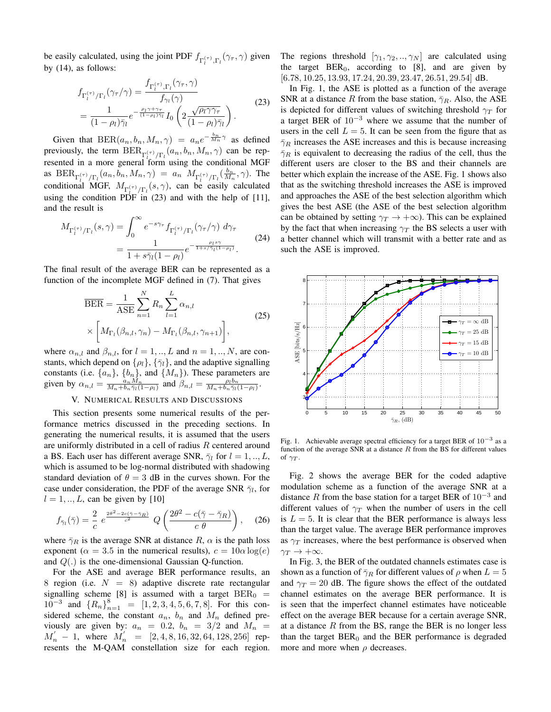be easily calculated, using the joint PDF  $f_{\Gamma_l^{(\tau)},\Gamma_l}(\gamma_\tau,\gamma)$  given by (14), as follows:

$$
f_{\Gamma_{l}^{(\tau)}/\Gamma_{l}}(\gamma_{\tau}/\gamma) = \frac{f_{\Gamma_{l}^{(\tau)},\Gamma_{l}}(\gamma_{\tau},\gamma)}{f_{\gamma_{l}}(\gamma)}
$$
  
= 
$$
\frac{1}{(1-\rho_{l})\bar{\gamma}_{l}}e^{-\frac{\rho_{l}\gamma+\gamma_{\tau}}{(1-\rho_{l})\bar{\gamma}_{l}}}I_{0}\left(2\frac{\sqrt{\rho_{l}\gamma\gamma_{\tau}}}{(1-\rho_{l})\bar{\gamma}_{l}}\right).
$$
 (23)

Given that  $BER(a_n, b_n, M_n, \gamma) = a_n e^{-\frac{b_n}{M_n}\gamma}$  as defined previously, the term  $\text{BER}_{\Gamma_l^{(\tau)}/\Gamma_l}(a_n, b_n, M_n, \gamma)$  can be represented in a more general form using the conditional MGF as  $\text{BER}_{\Gamma_l^{(\tau)}/\Gamma_l}(a_n, b_n, M_n, \gamma) = a_n \, M_{\Gamma_l^{(\tau)}/\Gamma_l}(\frac{b_n}{M_n}, \gamma)$ . The conditional MGF,  $M_{\Gamma_{l}^{(\tau)}/\Gamma_{l}}(s,\gamma)$ , can be easily calculated using the condition  $\overrightarrow{PDF}$  in (23) and with the help of [11], and the result is

$$
M_{\Gamma_l^{(\tau)} / \Gamma_l}(s, \gamma) = \int_0^\infty e^{-s\gamma_\tau} f_{\Gamma_l^{(\tau)} / \Gamma_l}(\gamma_\tau / \gamma) d\gamma_\tau
$$
  
= 
$$
\frac{1}{1 + s\bar{\gamma}_l (1 - \rho_l)} e^{-\frac{\rho_l s\gamma}{1 + s/\bar{\gamma}_l (1 - \rho_l)}}.
$$
 (24)

The final result of the average BER can be represented as a function of the incomplete MGF defined in (7). That gives

$$
\overline{BER} = \frac{1}{ASE} \sum_{n=1}^{N} R_n \sum_{l=1}^{L} \alpha_{n,l}
$$
\n
$$
\times \left[ M_{\Gamma_l}(\beta_{n,l}, \gamma_n) - M_{\Gamma_l}(\beta_{n,l}, \gamma_{n+1}) \right],
$$
\n(25)

where  $\alpha_{n,l}$  and  $\beta_{n,l}$ , for  $l = 1, ..., L$  and  $n = 1, ..., N$ , are constants, which depend on  $\{\rho_l\}, \{\bar{\gamma}_l\}$ , and the adaptive signalling constants (i.e.  $\{a_n\}$ ,  $\{b_n\}$ , and  $\{M_n\}$ ). These parameters are given by  $\alpha_{n,l} = \frac{a_n M_n}{M_n + b_n \bar{\gamma}_l (1 - \rho_l)}$  and  $\beta_{n,l} = \frac{\rho_l b_n}{M_n + b_n \bar{\gamma}_l (1 - \rho_l)}$ .

# V. NUMERICAL RESULTS AND DISCUSSIONS

This section presents some numerical results of the performance metrics discussed in the preceding sections. In generating the numerical results, it is assumed that the users are uniformly distributed in a cell of radius R centered around a BS. Each user has different average SNR,  $\bar{\gamma}_l$  for  $l = 1, ..., L$ , which is assumed to be log-normal distributed with shadowing standard deviation of  $\theta = 3$  dB in the curves shown. For the case under consideration, the PDF of the average SNR  $\bar{\gamma}_l$ , for  $l = 1, ..., L$ , can be given by [10]

$$
f_{\bar{\gamma}_l}(\bar{\gamma}) = \frac{2}{c} e^{\frac{2\theta^2 - 2c(\bar{\gamma} - \bar{\gamma}_R)}{c^2}} Q\left(\frac{2\theta^2 - c(\bar{\gamma} - \bar{\gamma}_R)}{c \theta}\right), \quad (26)
$$

where  $\bar{\gamma}_R$  is the average SNR at distance  $R$ ,  $\alpha$  is the path loss exponent ( $\alpha = 3.5$  in the numerical results),  $c = 10\alpha \log(e)$ and Q(.) is the one-dimensional Gaussian Q-function.

For the ASE and average BER performance results, an 8 region (i.e.  $N = 8$ ) adaptive discrete rate rectangular signalling scheme [8] is assumed with a target  $BER_0$  =  $10^{-3}$  and  ${R_n}_{n=1}^8 = [1, 2, 3, 4, 5, 6, 7, 8]$ . For this considered scheme, the constant  $a_n$ ,  $b_n$  and  $M_n$  defined previously are given by:  $a_n = 0.2$ ,  $b_n = 3/2$  and  $M_n =$  $M'_n - 1$ , where  $M'_n = [2, 4, 8, 16, 32, 64, 128, 256]$  represents the M-QAM constellation size for each region. The regions threshold  $[\gamma_1, \gamma_2, ..., \gamma_N]$  are calculated using the target  $BER_0$ , according to [8], and are given by [6.78, 10.25, 13.93, 17.24, 20.39, 23.47, 26.51, 29.54] dB.

In Fig. 1, the ASE is plotted as a function of the average SNR at a distance R from the base station,  $\bar{\gamma}_R$ . Also, the ASE is depicted for different values of switching threshold  $\gamma_T$  for a target BER of  $10^{-3}$  where we assume that the number of users in the cell  $L = 5$ . It can be seen from the figure that as  $\bar{\gamma}_R$  increases the ASE increases and this is because increasing  $\bar{\gamma}_R$  is equivalent to decreasing the radius of the cell, thus the different users are closer to the BS and their channels are better which explain the increase of the ASE. Fig. 1 shows also that as the switching threshold increases the ASE is improved and approaches the ASE of the best selection algorithm which gives the best ASE (the ASE of the best selection algorithm can be obtained by setting  $\gamma_T \to +\infty$ ). This can be explained by the fact that when increasing  $\gamma_T$  the BS selects a user with a better channel which will transmit with a better rate and as such the ASE is improved.



Fig. 1. Achievable average spectral efficiency for a target BER of  $10^{-3}$  as a function of the average SNR at a distance  $R$  from the BS for different values of  $\gamma_T$ .

Fig. 2 shows the average BER for the coded adaptive modulation scheme as a function of the average SNR at a distance R from the base station for a target BER of  $10^{-3}$  and different values of  $\gamma_T$  when the number of users in the cell is  $L = 5$ . It is clear that the BER performance is always less than the target value. The average BER performance improves as  $\gamma_T$  increases, where the best performance is observed when  $\gamma_T \to +\infty$ .

In Fig. 3, the BER of the outdated channels estimates case is shown as a function of  $\bar{\gamma}_R$  for different values of  $\rho$  when  $L = 5$ and  $\gamma_T = 20$  dB. The figure shows the effect of the outdated channel estimates on the average BER performance. It is is seen that the imperfect channel estimates have noticeable effect on the average BER because for a certain average SNR, at a distance  $R$  from the BS, range the BER is no longer less than the target  $BER_0$  and the BER performance is degraded more and more when  $\rho$  decreases.